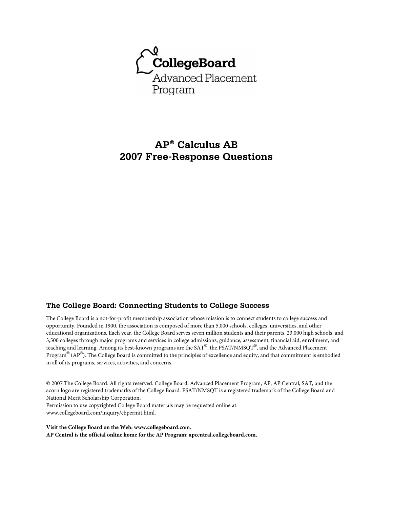

# **AP® Calculus AB 2007 Free-Response Questions**

# **The College Board: Connecting Students to College Success**

The College Board is a not-for-profit membership association whose mission is to connect students to college success and opportunity. Founded in 1900, the association is composed of more than 5,000 schools, colleges, universities, and other educational organizations. Each year, the College Board serves seven million students and their parents, 23,000 high schools, and 3,500 colleges through major programs and services in college admissions, guidance, assessment, financial aid, enrollment, and teaching and learning. Among its best-known programs are the SAT®, the PSAT/NMSQT®, and the Advanced Placement Program® (AP®). The College Board is committed to the principles of excellence and equity, and that commitment is embodied in all of its programs, services, activities, and concerns.

© 2007 The College Board. All rights reserved. College Board, Advanced Placement Program, AP, AP Central, SAT, and the acorn logo are registered trademarks of the College Board. PSAT/NMSQT is a registered trademark of the College Board and National Merit Scholarship Corporation.

Permission to use copyrighted College Board materials may be requested online at: www.collegeboard.com/inquiry/cbpermit.html.

**Visit the College Board on the Web: www.collegeboard.com. AP Central is the official online home for the AP Program: apcentral.collegeboard.com.**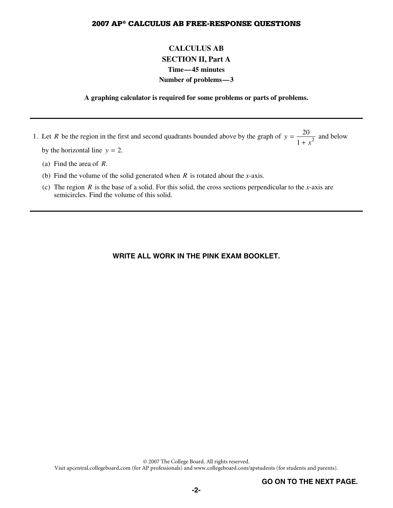# **CALCULUS AB SECTION II, Part A Time—45 minutes Number of problems—3**

#### **A graphing calculator is required for some problems or parts of problems.**

1. Let *R* be the region in the first and second quadrants bounded above by the graph of  $y = \frac{20}{1 + x^2}$  and below by the horizontal line  $y = 2$ .

- (a) Find the area of *R*.
- (b) Find the volume of the solid generated when *R* is rotated about the *x*-axis.
- (c) The region *R* is the base of a solid. For this solid, the cross sections perpendicular to the *x*-axis are semicircles. Find the volume of this solid.

# **WRITE ALL WORK IN THE PINK EXAM BOOKLET.**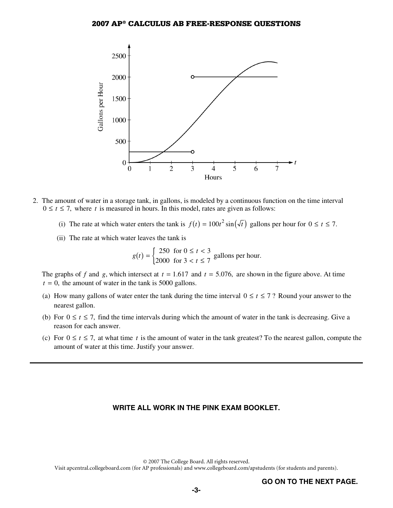

- 2. The amount of water in a storage tank, in gallons, is modeled by a continuous function on the time interval  $0 \le t \le 7$ , where *t* is measured in hours. In this model, rates are given as follows:
	- (i) The rate at which water enters the tank is  $f(t) = 100t^2 \sin(\sqrt{t})$  gallons per hour for  $0 \le t \le 7$ .
	- (ii) The rate at which water leaves the tank is

 $g(t) = \begin{cases} 250 & \text{for } 0 \le t < 3 \\ 2000 & \text{for } 3 < t \le 7 \end{cases}$  gallons per hour.

The graphs of *f* and *g*, which intersect at  $t = 1.617$  and  $t = 5.076$ , are shown in the figure above. At time  $t = 0$ , the amount of water in the tank is 5000 gallons.

- (a) How many gallons of water enter the tank during the time interval  $0 \le t \le 7$ ? Round your answer to the nearest gallon.
- (b) For  $0 \le t \le 7$ , find the time intervals during which the amount of water in the tank is decreasing. Give a reason for each answer.
- (c) For  $0 \le t \le 7$ , at what time t is the amount of water in the tank greatest? To the nearest gallon, compute the amount of water at this time. Justify your answer.

### **WRITE ALL WORK IN THE PINK EXAM BOOKLET.**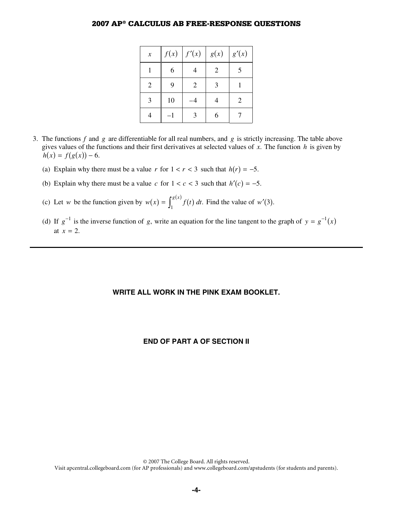| $\boldsymbol{\mathcal{X}}$ |    | f(x)   f'(x)   | g(x) | g'(x) |
|----------------------------|----|----------------|------|-------|
|                            | 6  |                | 2    | 5     |
| $\overline{2}$             | 9  | $\overline{2}$ | 3    |       |
| 3                          | 10 |                |      | 2     |
|                            |    | $\mathbf{R}$   | 6    |       |

- 3. The functions *f* and *g* are differentiable for all real numbers, and *g* is strictly increasing. The table above gives values of the functions and their first derivatives at selected values of *x*. The function *h* is given by  $h(x) = f(g(x)) - 6.$ 
	- (a) Explain why there must be a value *r* for  $1 < r < 3$  such that  $h(r) = -5$ .
	- (b) Explain why there must be a value *c* for  $1 < c < 3$  such that  $h'(c) = -5$ .
	- (c) Let *w* be the function given by  $w(x) = \int_1^{g(x)} f(t) dt$ . Find the value of  $w'(3)$ .
	- (d) If  $g^{-1}$  is the inverse function of *g*, write an equation for the line tangent to the graph of  $y = g^{-1}(x)$ at  $x = 2$ .

#### **WRITE ALL WORK IN THE PINK EXAM BOOKLET.**

### **END OF PART A OF SECTION II**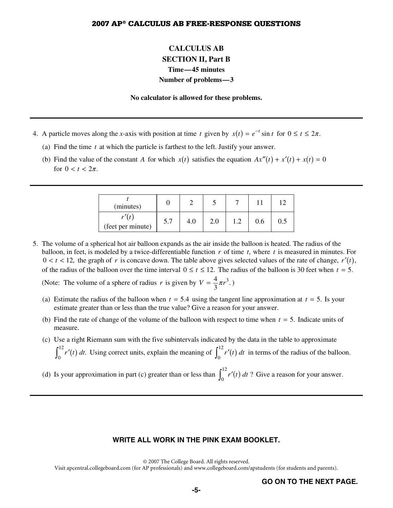# **CALCULUS AB SECTION II, Part B Time—45 minutes Number of problems—3**

#### **No calculator is allowed for these problems.**

- 4. A particle moves along the *x*-axis with position at time *t* given by  $x(t) = e^{-t} \sin t$  for  $0 \le t \le 2\pi$ .
	- (a) Find the time *t* at which the particle is farthest to the left. Justify your answer.
	- (b) Find the value of the constant *A* for which  $x(t)$  satisfies the equation  $Ax''(t) + x(t) + x(t) = 0$ for  $0 < t < 2\pi$ .

| (minutes)         |     |     |     |   |     |         |
|-------------------|-----|-----|-----|---|-----|---------|
| (feet per minute) | 5.7 | 4.0 | 2.0 | ി | 0.6 | $0.5\,$ |

 5. The volume of a spherical hot air balloon expands as the air inside the balloon is heated. The radius of the balloon, in feet, is modeled by a twice-differentiable function *r* of time *t*, where *t* is measured in minutes. For  $0 < t < 12$ , the graph of *r* is concave down. The table above gives selected values of the rate of change,  $r'(t)$ , of the radius of the balloon over the time interval  $0 \le t \le 12$ . The radius of the balloon is 30 feet when  $t = 5$ . (Note: The volume of a sphere of radius *r* is given by  $V = \frac{4}{3}\pi r^3$ .)

- (a) Estimate the radius of the balloon when  $t = 5.4$  using the tangent line approximation at  $t = 5$ . Is your estimate greater than or less than the true value? Give a reason for your answer.
- (b) Find the rate of change of the volume of the balloon with respect to time when *t* = 5. Indicate units of measure.
- (c) Use a right Riemann sum with the five subintervals indicated by the data in the table to approximate  $\int_0^{12} r'(t) dt$ . Using correct units, explain the meaning of  $\int_0^{12} r'(t) dt$  in terms of the radius of the balloon.
- (d) Is your approximation in part (c) greater than or less than  $\int_0^{12} r'(t) dt$ ? Give a reason for your answer.

#### **WRITE ALL WORK IN THE PINK EXAM BOOKLET.**

© 2007 The College Board. All rights reserved.

Visit apcentral.collegeboard.com (for AP professionals) and www.collegeboard.com/apstudents (for students and parents).